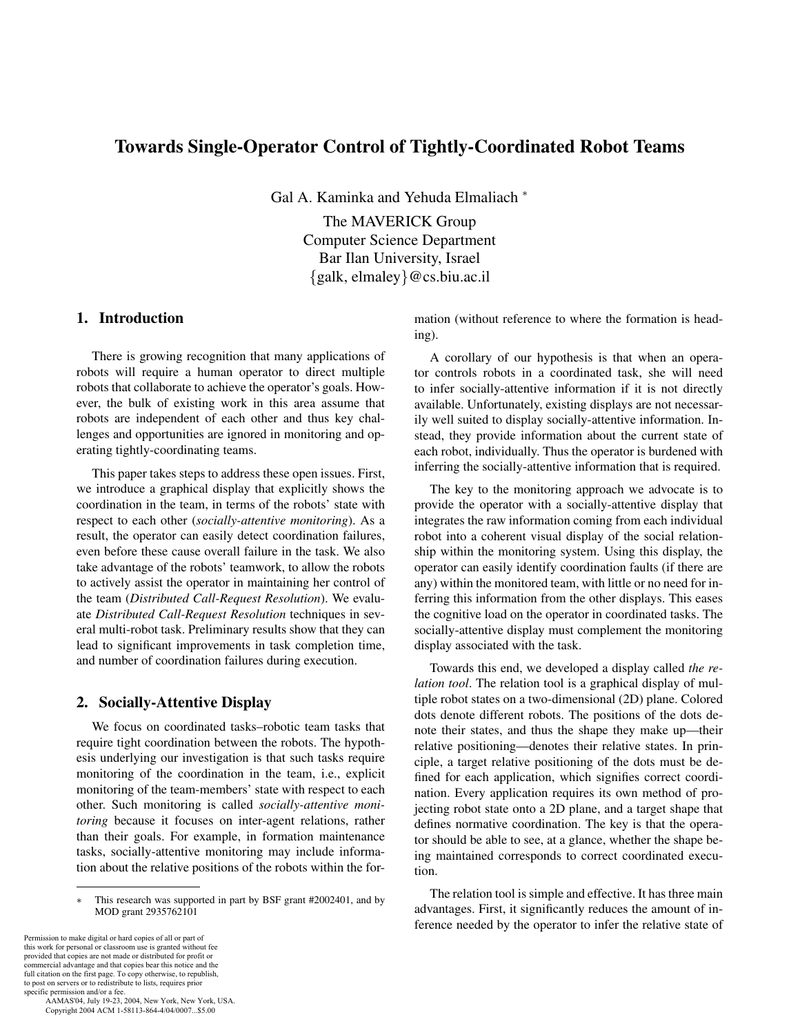# **Towards Single-Operator Control of Tightly-Coordinated Robot Teams**

Gal A. Kaminka and Yehuda Elmaliach <sup>∗</sup>

The MAVERICK Group Computer Science Department Bar Ilan University, Israel {galk, elmaley}@cs.biu.ac.il

# **1. Introduction**

There is growing recognition that many applications of robots will require a human operator to direct multiple robots that collaborate to achieve the operator's goals. However, the bulk of existing work in this area assume that robots are independent of each other and thus key challenges and opportunities are ignored in monitoring and operating tightly-coordinating teams.

This paper takes steps to address these open issues. First, we introduce a graphical display that explicitly shows the coordination in the team, in terms of the robots' state with respect to each other (*socially-attentive monitoring*). As a result, the operator can easily detect coordination failures, even before these cause overall failure in the task. We also take advantage of the robots' teamwork, to allow the robots to actively assist the operator in maintaining her control of the team (*Distributed Call-Request Resolution*). We evaluate *Distributed Call-Request Resolution* techniques in several multi-robot task. Preliminary results show that they can lead to significant improvements in task completion time, and number of coordination failures during execution.

#### **2. Socially-Attentive Display**

We focus on coordinated tasks–robotic team tasks that require tight coordination between the robots. The hypothesis underlying our investigation is that such tasks require monitoring of the coordination in the team, i.e., explicit monitoring of the team-members' state with respect to each other. Such monitoring is called *socially-attentive monitoring* because it focuses on inter-agent relations, rather than their goals. For example, in formation maintenance tasks, socially-attentive monitoring may include information about the relative positions of the robots within the for-

Permission to make digital or hard copies of all or part of this work for personal or classroom use is granted without fee provided that copies are not made or distributed for profit or commercial advantage and that copies bear this notice and the full citation on the first page. To copy otherwise, to republish, to post on servers or to redistribute to lists, requires prior

specific permission and/or a fee. AAMAS'04, July 19-23, 2004, New York, New York, USA. Copyright 2004 ACM 1-58113-864-4/04/0007...\$5.00

mation (without reference to where the formation is heading).

A corollary of our hypothesis is that when an operator controls robots in a coordinated task, she will need to infer socially-attentive information if it is not directly available. Unfortunately, existing displays are not necessarily well suited to display socially-attentive information. Instead, they provide information about the current state of each robot, individually. Thus the operator is burdened with inferring the socially-attentive information that is required.

The key to the monitoring approach we advocate is to provide the operator with a socially-attentive display that integrates the raw information coming from each individual robot into a coherent visual display of the social relationship within the monitoring system. Using this display, the operator can easily identify coordination faults (if there are any) within the monitored team, with little or no need for inferring this information from the other displays. This eases the cognitive load on the operator in coordinated tasks. The socially-attentive display must complement the monitoring display associated with the task.

Towards this end, we developed a display called *the relation tool*. The relation tool is a graphical display of multiple robot states on a two-dimensional (2D) plane. Colored dots denote different robots. The positions of the dots denote their states, and thus the shape they make up—their relative positioning—denotes their relative states. In principle, a target relative positioning of the dots must be defined for each application, which signifies correct coordination. Every application requires its own method of projecting robot state onto a 2D plane, and a target shape that defines normative coordination. The key is that the operator should be able to see, at a glance, whether the shape being maintained corresponds to correct coordinated execution.

The relation tool is simple and effective. It has three main advantages. First, it significantly reduces the amount of inference needed by the operator to infer the relative state of

<sup>∗</sup> This research was supported in part by BSF grant #2002401, and by MOD grant 2935762101